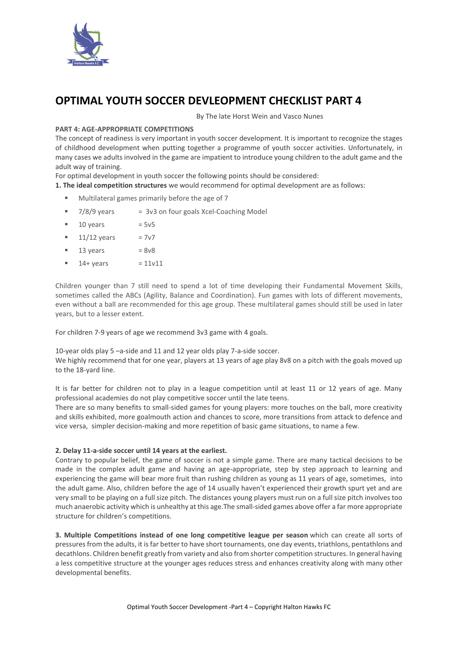

# **OPTIMAL YOUTH SOCCER DEVLEOPMENT CHECKLIST PART 4**

By The late Horst Wein and Vasco Nunes

#### **PART 4: AGE-APPROPRIATE COMPETITIONS**

The concept of readiness is very important in youth soccer development. It is important to recognize the stages of childhood development when putting together a programme of youth soccer activities. Unfortunately, in many cases we adults involved in the game are impatient to introduce young children to the adult game and the adult way of training.

For optimal development in youth soccer the following points should be considered:

**1. The ideal competition structures** we would recommend for optimal development are as follows:

- Multilateral games primarily before the age of 7
- $\blacksquare$  7/8/9 years  $\blacksquare$  = 3v3 on four goals Xcel-Coaching Model
- $10 \text{ years}$  = 5 $\text{v}$ 5
- 11/12 years =  $7v7$
- $13 \text{ years}$  =  $8\sqrt{8}$
- $14 + \text{years} = 11\text{v}11$

Children younger than 7 still need to spend a lot of time developing their Fundamental Movement Skills, sometimes called the ABCs (Agility, Balance and Coordination). Fun games with lots of different movements, even without a ball are recommended for this age group. These multilateral games should still be used in later years, but to a lesser extent.

For children 7-9 years of age we recommend 3v3 game with 4 goals.

10-year olds play 5 –a-side and 11 and 12 year olds play 7-a-side soccer.

We highly recommend that for one year, players at 13 years of age play 8v8 on a pitch with the goals moved up to the 18-yard line.

It is far better for children not to play in a league competition until at least 11 or 12 years of age. Many professional academies do not play competitive soccer until the late teens.

There are so many benefits to small-sided games for young players: more touches on the ball, more creativity and skills exhibited, more goalmouth action and chances to score, more transitions from attack to defence and vice versa, simpler decision-making and more repetition of basic game situations, to name a few.

#### **2. Delay 11-a-side soccer until 14 years at the earliest.**

Contrary to popular belief, the game of soccer is not a simple game. There are many tactical decisions to be made in the complex adult game and having an age-appropriate, step by step approach to learning and experiencing the game will bear more fruit than rushing children as young as 11 years of age, sometimes, into the adult game. Also, children before the age of 14 usually haven't experienced their growth spurt yet and are very small to be playing on a full size pitch. The distances young players must run on a full size pitch involves too much anaerobic activity which is unhealthy at this age.The small-sided games above offer a far more appropriate structure for children's competitions.

**3. Multiple Competitions instead of one long competitive league per season** which can create all sorts of pressures from the adults, it is far better to have short tournaments, one day events, triathlons, pentathlons and decathlons. Children benefit greatly from variety and also from shorter competition structures. In general having a less competitive structure at the younger ages reduces stress and enhances creativity along with many other developmental benefits.